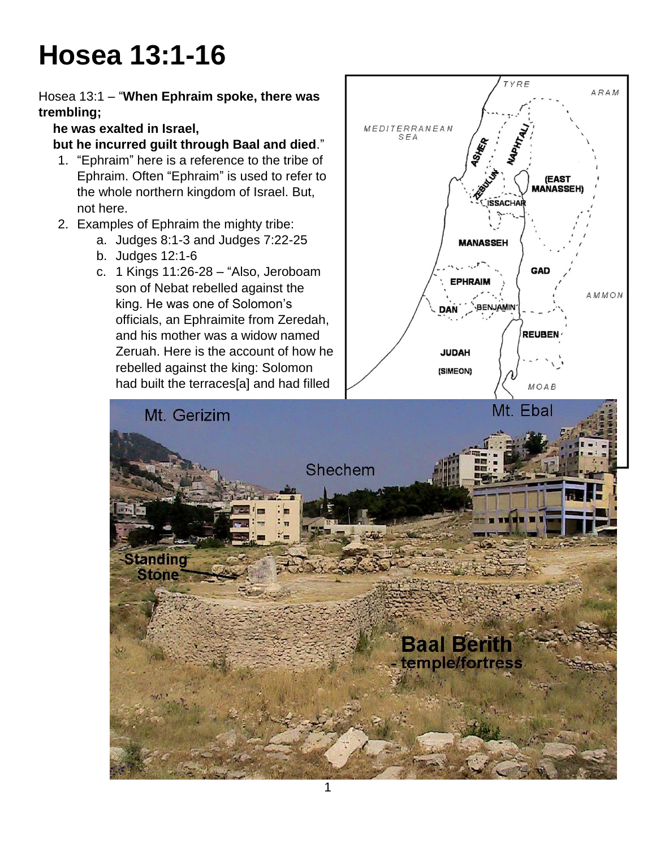# **Hosea 13:1-16**

Hosea 13:1 – "**When Ephraim spoke, there was trembling;**

 **he was exalted in Israel,**

### **but he incurred guilt through Baal and died**."

- 1. "Ephraim" here is a reference to the tribe of Ephraim. Often "Ephraim" is used to refer to the whole northern kingdom of Israel. But, not here.
- 2. Examples of Ephraim the mighty tribe:
	- a. Judges 8:1-3 and Judges 7:22-25 b. Judges 12:1-6
	-

**Standing Stone** 

son of Nebat rebelled against the king. He was one of Solomon's officials, an Ephraimite from Zeredah, and his mother was a widow named Zeruah. Here is the account of how he rebelled against the king: Solomon had built the terraces[a] and had filled

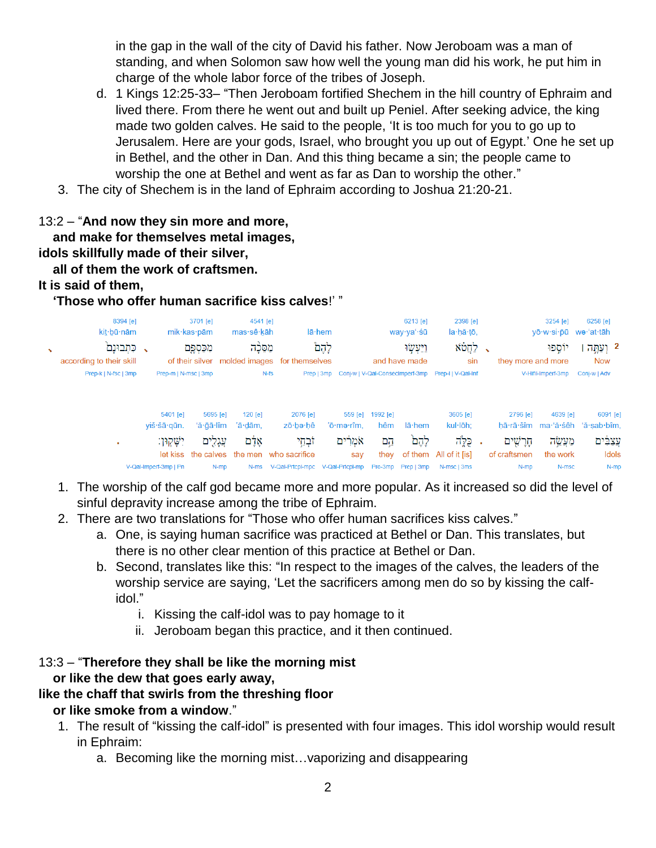in the gap in the wall of the city of David his father. Now Jeroboam was a man of standing, and when Solomon saw how well the young man did his work, he put him in charge of the whole labor force of the tribes of Joseph.

- d. 1 Kings 12:25-33– "Then Jeroboam fortified Shechem in the hill country of Ephraim and lived there. From there he went out and built up Peniel. After seeking advice, the king made two golden calves. He said to the people, 'It is too much for you to go up to Jerusalem. Here are your gods, Israel, who brought you up out of Egypt.' One he set up in Bethel, and the other in Dan. And this thing became a sin; the people came to worship the one at Bethel and went as far as Dan to worship the other."
- 3. The city of Shechem is in the land of Ephraim according to Joshua 21:20-21.

### 13:2 – "**And now they sin more and more, and make for themselves metal images, idols skillfully made of their silver, all of them the work of craftsmen.**

#### **It is said of them,**

### **'Those who offer human sacrifice kiss calves**!' "

|                       | 8394 [e]<br>kit bū nām             |                             | 3701 [e]<br>mik∙kas∙pām | 4541 [e]<br>mas∙sê∙kāh |                                                                  | $l\bar{a}$ hem                                                |                    | 6213 [e]<br>way∙yaʻ∙śū       | 2398 [e]<br>la·hă·tō,                     |                           | 3254 [e]<br>yō·w·si·pū we·'at·tāh | 6258 [e]                                                      |
|-----------------------|------------------------------------|-----------------------------|-------------------------|------------------------|------------------------------------------------------------------|---------------------------------------------------------------|--------------------|------------------------------|-------------------------------------------|---------------------------|-----------------------------------|---------------------------------------------------------------|
| $\tilde{\phantom{a}}$ | כתבונם<br>according to their skill |                             | מִכַּסְפֶּם             | מסכה                   | of their silver molded images for themselves                     | לְהָם                                                         |                    | וַיַּעִשׂוּ<br>and have made | לחֲטֹא<br>sin                             | they more and more        | יוספו                             | 2 וְעַחֲה<br>Now                                              |
|                       | Prep-k   N-fsc   3mp               | Prep-m   N-msc   3mp        |                         |                        | $N-fs$                                                           | Prep   3mp Coni-w   V-Qal-ConsecImperf-3mp Prep-I   V-Qal-Inf |                    |                              |                                           |                           | V-Hifil-Imperf-3mp                | Conj-w   Adv                                                  |
|                       |                                    | 5401 [e]                    | 5695 [e]                | $120$ [e]              | 2076 [e]                                                         | 559 [e]                                                       | 1992 [e]           |                              | 3605 [e]                                  | 2796 [e]                  | 4639 [e]                          | 6091 [e                                                       |
|                       | ×                                  | yiš·šā·qūn.<br>יִשָּׁקוּון: | 'ă∙ğā∙lîm<br>עֲגָלִים   | 'ā·dām,<br>אָלָם       | zō bə hê<br>זֹבְחֵי<br>let kiss the calves the men who sacrifice | 'ō·mə·rîm,<br>אֹמְרִים<br>say                                 | hêm<br>הֱם<br>they | lā·hem<br>לֶהֶם              | kul·lōh:<br>כלה<br>of them All of it [is] | חַרַשִׁים<br>of craftsmen | מעשה<br>the work                  | hā rā šîm ma 'ă śêh 'ă sab bîm<br><u>ַנַצ</u> ִבִּים<br>Idols |
|                       |                                    | V-Qal-Imperf-3mp   Pn       | N-mp                    | $N-ms$                 | V-Qal-Prtcpl-mpc                                                 | V-Qal-Prtcpl-mp                                               |                    | Pro-3mp Prep   3mp           | N-msc   3ms                               | N-mp                      | N-msc                             | $N-m$                                                         |

- 1. The worship of the calf god became more and more popular. As it increased so did the level of sinful depravity increase among the tribe of Ephraim.
- 2. There are two translations for "Those who offer human sacrifices kiss calves."
	- a. One, is saying human sacrifice was practiced at Bethel or Dan. This translates, but there is no other clear mention of this practice at Bethel or Dan.
	- b. Second, translates like this: "In respect to the images of the calves, the leaders of the worship service are saying, 'Let the sacrificers among men do so by kissing the calfidol."
		- i. Kissing the calf-idol was to pay homage to it
		- ii. Jeroboam began this practice, and it then continued.

### 13:3 – "**Therefore they shall be like the morning mist or like the dew that goes early away,**

### **like the chaff that swirls from the threshing floor**

### **or like smoke from a window**."

- 1. The result of "kissing the calf-idol" is presented with four images. This idol worship would result in Ephraim:
	- a. Becoming like the morning mist…vaporizing and disappearing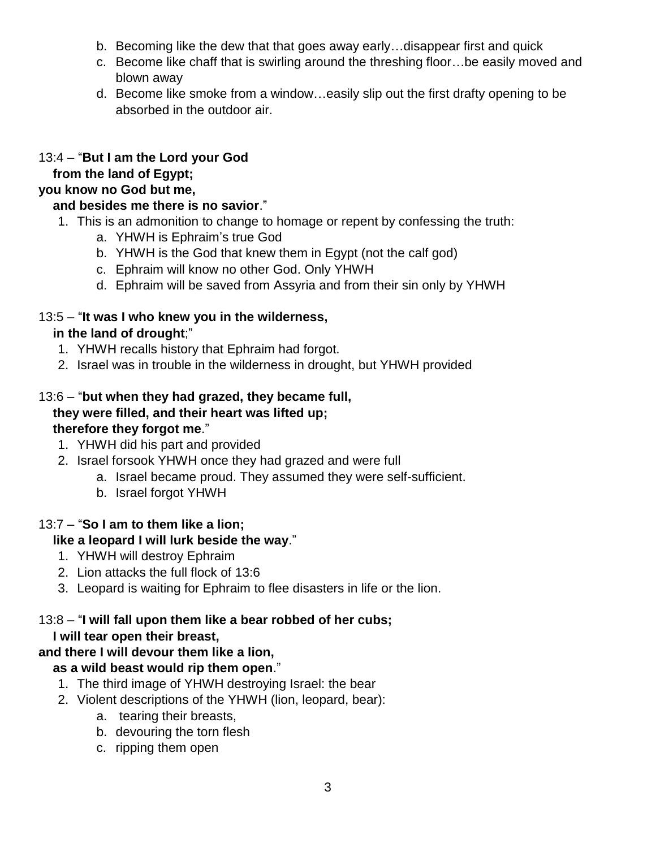- b. Becoming like the dew that that goes away early…disappear first and quick
- c. Become like chaff that is swirling around the threshing floor…be easily moved and blown away
- d. Become like smoke from a window…easily slip out the first drafty opening to be absorbed in the outdoor air.

### 13:4 – "**But I am the Lord your God**

### **from the land of Egypt;**

### **you know no God but me,**

### **and besides me there is no savior**."

- 1. This is an admonition to change to homage or repent by confessing the truth:
	- a. YHWH is Ephraim's true God
	- b. YHWH is the God that knew them in Egypt (not the calf god)
	- c. Ephraim will know no other God. Only YHWH
	- d. Ephraim will be saved from Assyria and from their sin only by YHWH

### 13:5 – "**It was I who knew you in the wilderness,**

### **in the land of drought**;"

- 1. YHWH recalls history that Ephraim had forgot.
- 2. Israel was in trouble in the wilderness in drought, but YHWH provided

### 13:6 – "**but when they had grazed, they became full, they were filled, and their heart was lifted up; therefore they forgot me**."

- 1. YHWH did his part and provided
- 2. Israel forsook YHWH once they had grazed and were full
	- a. Israel became proud. They assumed they were self-sufficient.
	- b. Israel forgot YHWH

### 13:7 – "**So I am to them like a lion;**

### **like a leopard I will lurk beside the way**."

- 1. YHWH will destroy Ephraim
- 2. Lion attacks the full flock of 13:6
- 3. Leopard is waiting for Ephraim to flee disasters in life or the lion.

## 13:8 – "**I will fall upon them like a bear robbed of her cubs;**

### **I will tear open their breast,**

### **and there I will devour them like a lion,**

### **as a wild beast would rip them open**."

- 1. The third image of YHWH destroying Israel: the bear
- 2. Violent descriptions of the YHWH (lion, leopard, bear):
	- a. tearing their breasts,
	- b. devouring the torn flesh
	- c. ripping them open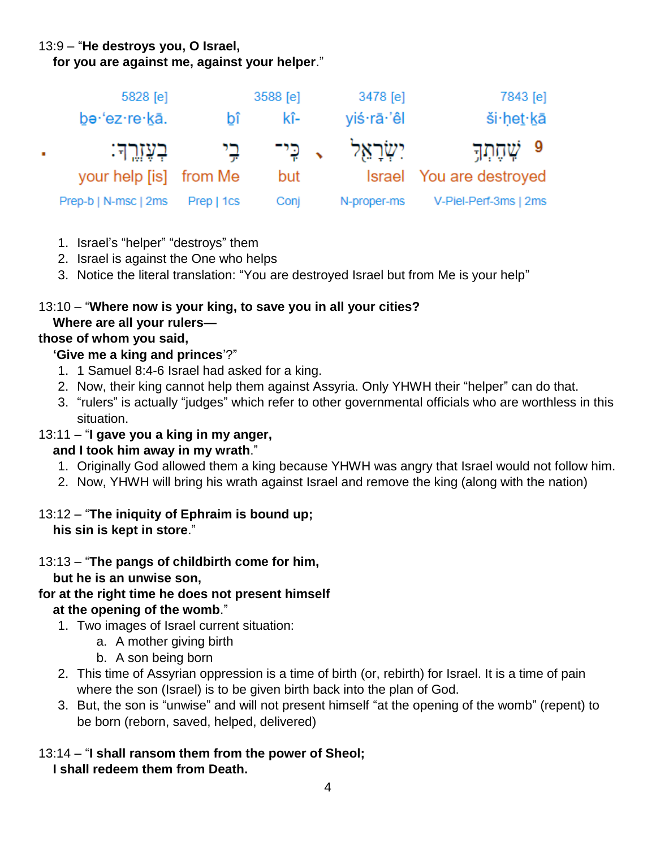### 13:9 – "**He destroys you, O Israel,**

 **for you are against me, against your helper**."

|              | 5828 [e]               | 3588 [e]   |      |  | 3478 [e]           | 7843 [e]                 |  |  |
|--------------|------------------------|------------|------|--|--------------------|--------------------------|--|--|
|              | be·'ez·re·kā.          | bî         | kî-  |  | yiś·rā·'êl         | ši het kā                |  |  |
| $\mathbf{r}$ | ּבְעֶזֶרֱךָ׃           | בי         |      |  | יִשְׂרָאֵל , כִּי־ | ּ9 שֶׁהֶתְךָ             |  |  |
|              | your help [is] from Me |            | but  |  |                    | Israel You are destroyed |  |  |
|              | Prep-b   N-msc   2ms   | Prep   1cs | Conj |  | N-proper-ms        | V-Piel-Perf-3ms   2ms    |  |  |

- 1. Israel's "helper" "destroys" them
- 2. Israel is against the One who helps
- 3. Notice the literal translation: "You are destroyed Israel but from Me is your help"

#### 13:10 – "**Where now is your king, to save you in all your cities? Where are all your rulers—**

### **those of whom you said,**

### **'Give me a king and princes**'?"

- 1. 1 Samuel 8:4-6 Israel had asked for a king.
- 2. Now, their king cannot help them against Assyria. Only YHWH their "helper" can do that.
- 3. "rulers" is actually "judges" which refer to other governmental officials who are worthless in this situation.

### 13:11 – "**I gave you a king in my anger,**

### **and I took him away in my wrath**."

- 1. Originally God allowed them a king because YHWH was angry that Israel would not follow him.
- 2. Now, YHWH will bring his wrath against Israel and remove the king (along with the nation)

### 13:12 – "**The iniquity of Ephraim is bound up; his sin is kept in store**."

### 13:13 – "**The pangs of childbirth come for him,**

 **but he is an unwise son,**

- **for at the right time he does not present himself at the opening of the womb**."
	- 1. Two images of Israel current situation:
		- a. A mother giving birth
		- b. A son being born
	- 2. This time of Assyrian oppression is a time of birth (or, rebirth) for Israel. It is a time of pain where the son (Israel) is to be given birth back into the plan of God.
	- 3. But, the son is "unwise" and will not present himself "at the opening of the womb" (repent) to be born (reborn, saved, helped, delivered)
- 13:14 "**I shall ransom them from the power of Sheol; I shall redeem them from Death.**